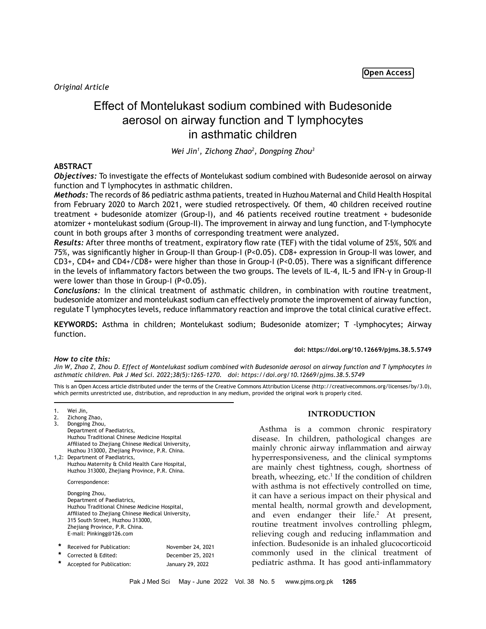# Effect of Montelukast sodium combined with Budesonide aerosol on airway function and T lymphocytes in asthmatic children

*Wei Jin1 , Zichong Zhao2 , Dongping Zhou3*

# **ABSTRACT**

*Objectives:* To investigate the effects of Montelukast sodium combined with Budesonide aerosol on airway function and T lymphocytes in asthmatic children.

*Methods:* The records of 86 pediatric asthma patients, treated in Huzhou Maternal and Child Health Hospital from February 2020 to March 2021, were studied retrospectively. Of them, 40 children received routine treatment + budesonide atomizer (Group-I), and 46 patients received routine treatment + budesonide atomizer + montelukast sodium (Group-II). The improvement in airway and lung function, and T-lymphocyte count in both groups after 3 months of corresponding treatment were analyzed.

*Results:* After three months of treatment, expiratory flow rate (TEF) with the tidal volume of 25%, 50% and 75%, was significantly higher in Group-II than Group-I (P<0.05). CD8+ expression in Group-II was lower, and CD3+, CD4+ and CD4+/CD8+ were higher than those in Group-I (P<0.05). There was a significant difference in the levels of inflammatory factors between the two groups. The levels of IL-4, IL-5 and IFN-γ in Group-II were lower than those in Group-I (P<0.05).

*Conclusions:* In the clinical treatment of asthmatic children, in combination with routine treatment, budesonide atomizer and montelukast sodium can effectively promote the improvement of airway function, regulate T lymphocytes levels, reduce inflammatory reaction and improve the total clinical curative effect.

**KEYWORDS:** Asthma in children; Montelukast sodium; Budesonide atomizer; T -lymphocytes; Airway function.

### **doi: https://doi.org/10.12669/pjms.38.5.5749**

### *How to cite this:*

*Jin W, Zhao Z, Zhou D. Effect of Montelukast sodium combined with Budesonide aerosol on airway function and T lymphocytes in asthmatic children. Pak J Med Sci. 2022;38(5):1265-1270. doi: https://doi.org/10.12669/pjms.38.5.5749*

This is an Open Access article distributed under the terms of the Creative Commons Attribution License (http://creativecommons.org/licenses/by/3.0), which permits unrestricted use, distribution, and reproduction in any medium, provided the original work is properly cited.

1. Wei Jin,

2. Zichong Zhao, Dongping Zhou, Department of Paediatrics, Huzhou Traditional Chinese Medicine Hospital Affiliated to Zhejiang Chinese Medical University, Huzhou 313000, Zhejiang Province, P.R. China. 1,2: Department of Paediatrics, Huzhou Maternity & Child Health Care Hospital, Huzhou 313000, Zhejiang Province, P.R. China. Correspondence:

Dongping Zhou, Department of Paediatrics, Huzhou Traditional Chinese Medicine Hospital, Affiliated to Zhejiang Chinese Medical University, 315 South Street, Huzhou 313000, Zhejiang Province, P.R. China. E-mail: Pinkingg@126.com

| $\ast$ | Received for Publication: | November 24, 2021 |
|--------|---------------------------|-------------------|
|        | * Corrected & Edited:     | December 25, 2021 |
|        | Accepted for Publication: | January 29, 2022  |

# **INTRODUCTION**

Asthma is a common chronic respiratory disease. In children, pathological changes are mainly chronic airway inflammation and airway hyperresponsiveness, and the clinical symptoms are mainly chest tightness, cough, shortness of breath, wheezing, etc.<sup>1</sup> If the condition of children with asthma is not effectively controlled on time, it can have a serious impact on their physical and mental health, normal growth and development, and even endanger their life.<sup>2</sup> At present, routine treatment involves controlling phlegm, relieving cough and reducing inflammation and infection. Budesonide is an inhaled glucocorticoid commonly used in the clinical treatment of pediatric asthma. It has good anti-inflammatory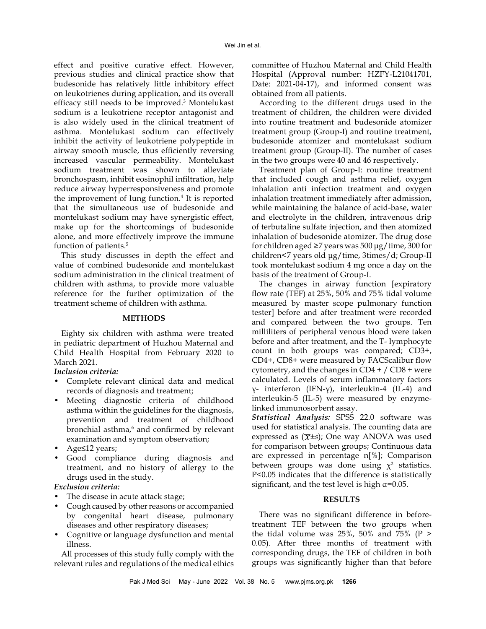effect and positive curative effect. However, previous studies and clinical practice show that budesonide has relatively little inhibitory effect on leukotrienes during application, and its overall efficacy still needs to be improved.<sup>3</sup> Montelukast sodium is a leukotriene receptor antagonist and is also widely used in the clinical treatment of asthma. Montelukast sodium can effectively inhibit the activity of leukotriene polypeptide in airway smooth muscle, thus efficiently reversing increased vascular permeability. Montelukast sodium treatment was shown to alleviate bronchospasm, inhibit eosinophil infiltration, help reduce airway hyperresponsiveness and promote the improvement of lung function.<sup>4</sup> It is reported that the simultaneous use of budesonide and montelukast sodium may have synergistic effect, make up for the shortcomings of budesonide alone, and more effectively improve the immune function of patients.<sup>5</sup>

This study discusses in depth the effect and value of combined budesonide and montelukast sodium administration in the clinical treatment of children with asthma, to provide more valuable reference for the further optimization of the treatment scheme of children with asthma.

# **METHODS**

Eighty six children with asthma were treated in pediatric department of Huzhou Maternal and Child Health Hospital from February 2020 to March 2021.

*Inclusion criteria:*

- Complete relevant clinical data and medical records of diagnosis and treatment;
- Meeting diagnostic criteria of childhood asthma within the guidelines for the diagnosis, prevention and treatment of childhood bronchial asthma,<sup>6</sup> and confirmed by relevant examination and symptom observation;
- Age≤12 years;
- Good compliance during diagnosis and treatment, and no history of allergy to the drugs used in the study.

# *Exclusion criteria:*

- The disease in acute attack stage;
- Cough caused by other reasons or accompanied by congenital heart disease, pulmonary diseases and other respiratory diseases;
- Cognitive or language dysfunction and mental illness.

All processes of this study fully comply with the relevant rules and regulations of the medical ethics

committee of Huzhou Maternal and Child Health Hospital (Approval number: HZFY-L21041701, Date: 2021-04-17), and informed consent was obtained from all patients.

According to the different drugs used in the treatment of children, the children were divided into routine treatment and budesonide atomizer treatment group (Group-I) and routine treatment, budesonide atomizer and montelukast sodium treatment group (Group-II). The number of cases in the two groups were 40 and 46 respectively.

Treatment plan of Group-I: routine treatment that included cough and asthma relief, oxygen inhalation anti infection treatment and oxygen inhalation treatment immediately after admission, while maintaining the balance of acid-base, water and electrolyte in the children, intravenous drip of terbutaline sulfate injection, and then atomized inhalation of budesonide atomizer. The drug dose for children aged ≥7 years was 500 μg/time, 300 for children<7 years old μg/time, 3times/d; Group-II took montelukast sodium 4 mg once a day on the basis of the treatment of Group-I.

The changes in airway function [expiratory flow rate (TEF) at 25%, 50% and 75% tidal volume measured by master scope pulmonary function tester] before and after treatment were recorded and compared between the two groups. Ten milliliters of peripheral venous blood were taken before and after treatment, and the T- lymphocyte count in both groups was compared; CD3+, CD4+, CD8+ were measured by FACScalibur flow cytometry, and the changes in  $CD4 + / CD8 +$  were calculated. Levels of serum inflammatory factors γ- interferon (IFN-γ), interleukin-4 (IL-4) and interleukin-5 (IL-5) were measured by enzymelinked immunosorbent assay.

*Statistical Analysis:* SPSS 22.0 software was used for statistical analysis. The counting data are expressed as  $(\overline{x} \pm s)$ ; One way ANOVA was used for comparison between groups; Continuous data are expressed in percentage n[%]; Comparison between groups was done using  $\chi^2$  statistics. P<0.05 indicates that the difference is statistically significant, and the test level is high  $\alpha$ =0.05.

# **RESULTS**

There was no significant difference in beforetreatment TEF between the two groups when the tidal volume was  $25\%$ , 50% and 75% (P  $>$ 0.05). After three months of treatment with corresponding drugs, the TEF of children in both groups was significantly higher than that before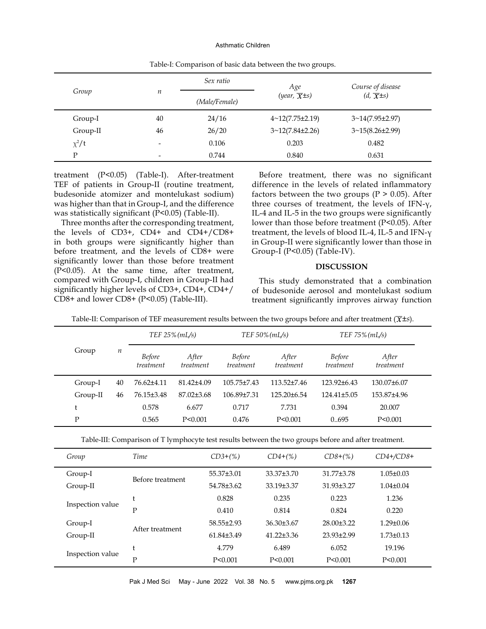#### Asthmatic Children

|            |                          | Sex ratio     | Age                          | Course of disease         |
|------------|--------------------------|---------------|------------------------------|---------------------------|
| Group      | $\boldsymbol{n}$         | (Male/Female) | $(year, \overline{x} \pm s)$ | $(d, \overline{x} \pm s)$ |
| Group-I    | 40                       | 24/16         | $4 \sim 12(7.75 \pm 2.19)$   | $3~14(7.95 \pm 2.97)$     |
| Group-II   | 46                       | 26/20         | $3~12(7.84 \pm 2.26)$        | $3~15(8.26 \pm 2.99)$     |
| $\chi^2/t$ | $\overline{\phantom{0}}$ | 0.106         | 0.203                        | 0.482                     |
| P          | $\overline{\phantom{0}}$ | 0.744         | 0.840                        | 0.631                     |

Table-I: Comparison of basic data between the two groups.

treatment (P<0.05) (Table-I). After-treatment TEF of patients in Group-II (routine treatment, budesonide atomizer and montelukast sodium) was higher than that in Group-I, and the difference was statistically significant (P<0.05) (Table-II).

Three months after the corresponding treatment, the levels of CD3+, CD4+ and CD4+/CD8+ in both groups were significantly higher than before treatment, and the levels of CD8+ were significantly lower than those before treatment (P<0.05). At the same time, after treatment, compared with Group-I, children in Group-II had significantly higher levels of CD3+, CD4+, CD4+/ CD8+ and lower CD8+ (P<0.05) (Table-III).

Before treatment, there was no significant difference in the levels of related inflammatory factors between the two groups ( $P > 0.05$ ). After three courses of treatment, the levels of IFN- $v_t$ , IL-4 and IL-5 in the two groups were significantly lower than those before treatment (P<0.05). After treatment, the levels of blood IL-4, IL-5 and IFN-γ in Group-II were significantly lower than those in Group-I ( $P<0.05$ ) (Table-IV).

## **DISCUSSION**

This study demonstrated that a combination of budesonide aerosol and montelukast sodium treatment significantly improves airway function

|          |    |                            | TEF $25\%$ (mL/s)  | TEF $50\%$ (mL/s)          |                    |                            | TEF $75\%$ (mL/s)  |  |
|----------|----|----------------------------|--------------------|----------------------------|--------------------|----------------------------|--------------------|--|
| Group    | п  | <b>Before</b><br>treatment | After<br>treatment | <b>Before</b><br>treatment | After<br>treatment | <b>Before</b><br>treatment | After<br>treatment |  |
| Group-I  | 40 | 76.62±4.11                 | $81.42\pm4.09$     | $105.75 \pm 7.43$          | $113.52 + 7.46$    | $123.92\pm 6.43$           | 130.07±6.07        |  |
| Group-II | 46 | 76.15±3.48                 | $87.02\pm3.68$     | 106.89±7.31                | $125.20\pm 6.54$   | 124.41±5.05                | 153.87±4.96        |  |
| t        |    | 0.578                      | 6.677              | 0.717                      | 7.731              | 0.394                      | 20.007             |  |
| P        |    | 0.565                      | P < 0.001          | 0.476                      | P < 0.001          | 0.695                      | P < 0.001          |  |

Table-II: Comparison of TEF measurement results between the two groups before and after treatment  $(\overline{\chi} \pm s)$ .

Table-III: Comparison of T lymphocyte test results between the two groups before and after treatment.

| Group            | Time             | $CD3+(%)$        | $CD4+(%)$        | $CD8+(%)$        | $CD4+/CD8+$     |  |
|------------------|------------------|------------------|------------------|------------------|-----------------|--|
| Group-I          |                  | 55.37±3.01       | 33.37±3.70       | 31.77±3.78       | $1.05 \pm 0.03$ |  |
| Group-II         | Before treatment | 54.78±3.62       | 33.19±3.37       | 31.93±3.27       | $1.04\pm0.04$   |  |
|                  |                  | 0.828            | 0.235            | 0.223            | 1.236           |  |
| Inspection value | P                | 0.410            | 0.814            | 0.824            | 0.220           |  |
| Group-I          |                  | $58.55 \pm 2.93$ | $36.30\pm3.67$   | $28.00\pm3.22$   | $1.29 \pm 0.06$ |  |
| Group-II         | After treatment  | $61.84\pm3.49$   | $41.22 \pm 3.36$ | $23.93 \pm 2.99$ | $1.73 \pm 0.13$ |  |
|                  |                  | 4.779            | 6.489            | 6.052            | 19.196          |  |
| Inspection value | P                | P<0.001          | P < 0.001        | P < 0.001        | P < 0.001       |  |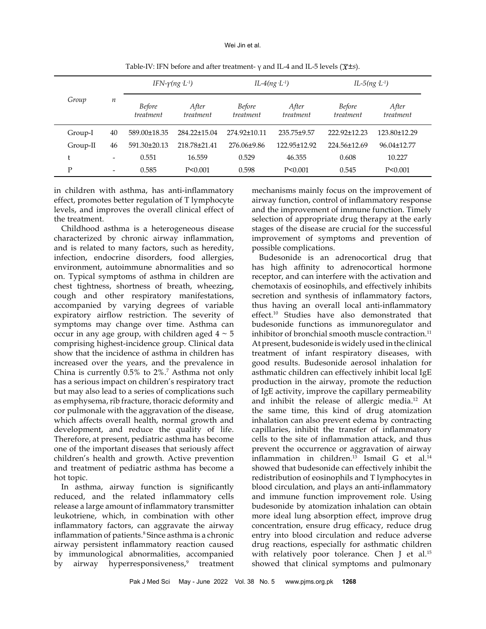#### Wei Jin et al.

|          |    |                            | IFN- $\gamma$ (ng ·L <sup>-1</sup> ) |                            | <i>IL-4(ng ·L<sup>-1</sup>)</i> | <i>IL-5</i> $(ng \cdot L^{-1})$ |                    |
|----------|----|----------------------------|--------------------------------------|----------------------------|---------------------------------|---------------------------------|--------------------|
| Group    | п  | <b>Before</b><br>treatment | After<br>treatment                   | <b>Before</b><br>treatment | After<br>treatment              | <b>Before</b><br>treatment      | After<br>treatment |
| Group-I  | 40 | 589.00±18.35               | 284.22±15.04                         | 274.92±10.11               | 235.75±9.57                     | 222.92±12.23                    | 123.80±12.29       |
| Group-II | 46 | $591.30 \pm 20.13$         | 218.78±21.41                         | 276.06±9.86                | 122.95±12.92                    | 224.56±12.69                    | 96.04±12.77        |
| t        | -  | 0.551                      | 16.559                               | 0.529                      | 46.355                          | 0.608                           | 10.227             |
| D        | -  | 0.585                      | P < 0.001                            | 0.598                      | P<0.001                         | 0.545                           | P<0.001            |

Table-IV: IFN before and after treatment-  $\gamma$  and IL-4 and IL-5 levels ( $\overline{\chi}$ ±s).

in children with asthma, has anti-inflammatory effect, promotes better regulation of T lymphocyte levels, and improves the overall clinical effect of the treatment.

Childhood asthma is a heterogeneous disease characterized by chronic airway inflammation, and is related to many factors, such as heredity, infection, endocrine disorders, food allergies, environment, autoimmune abnormalities and so on. Typical symptoms of asthma in children are chest tightness, shortness of breath, wheezing, cough and other respiratory manifestations, accompanied by varying degrees of variable expiratory airflow restriction. The severity of symptoms may change over time. Asthma can occur in any age group, with children aged  $4 \sim 5$ comprising highest-incidence group. Clinical data show that the incidence of asthma in children has increased over the years, and the prevalence in China is currently  $0.5\%$  to  $2\%$ .<sup>7</sup> Asthma not only has a serious impact on children's respiratory tract but may also lead to a series of complications such as emphysema, rib fracture, thoracic deformity and cor pulmonale with the aggravation of the disease, which affects overall health, normal growth and development, and reduce the quality of life. Therefore, at present, pediatric asthma has become one of the important diseases that seriously affect children's health and growth. Active prevention and treatment of pediatric asthma has become a hot topic.

In asthma, airway function is significantly reduced, and the related inflammatory cells release a large amount of inflammatory transmitter leukotriene, which, in combination with other inflammatory factors, can aggravate the airway inflammation of patients.<sup>8</sup> Since asthma is a chronic airway persistent inflammatory reaction caused by immunological abnormalities, accompanied by airway hyperresponsiveness,<sup>9</sup> treatment

mechanisms mainly focus on the improvement of airway function, control of inflammatory response and the improvement of immune function. Timely selection of appropriate drug therapy at the early stages of the disease are crucial for the successful improvement of symptoms and prevention of possible complications.

Budesonide is an adrenocortical drug that has high affinity to adrenocortical hormone receptor, and can interfere with the activation and chemotaxis of eosinophils, and effectively inhibits secretion and synthesis of inflammatory factors, thus having an overall local anti-inflammatory effect.10 Studies have also demonstrated that budesonide functions as immunoregulator and inhibitor of bronchial smooth muscle contraction.<sup>11</sup> At present, budesonide is widely used in the clinical treatment of infant respiratory diseases, with good results. Budesonide aerosol inhalation for asthmatic children can effectively inhibit local IgE production in the airway, promote the reduction of IgE activity, improve the capillary permeability and inhibit the release of allergic media.12 At the same time, this kind of drug atomization inhalation can also prevent edema by contracting capillaries, inhibit the transfer of inflammatory cells to the site of inflammation attack, and thus prevent the occurrence or aggravation of airway inflammation in children.<sup>13</sup> Ismail G et al.<sup>14</sup> showed that budesonide can effectively inhibit the redistribution of eosinophils and T lymphocytes in blood circulation, and plays an anti-inflammatory and immune function improvement role. Using budesonide by atomization inhalation can obtain more ideal lung absorption effect, improve drug concentration, ensure drug efficacy, reduce drug entry into blood circulation and reduce adverse drug reactions, especially for asthmatic children with relatively poor tolerance. Chen J et al.<sup>15</sup> showed that clinical symptoms and pulmonary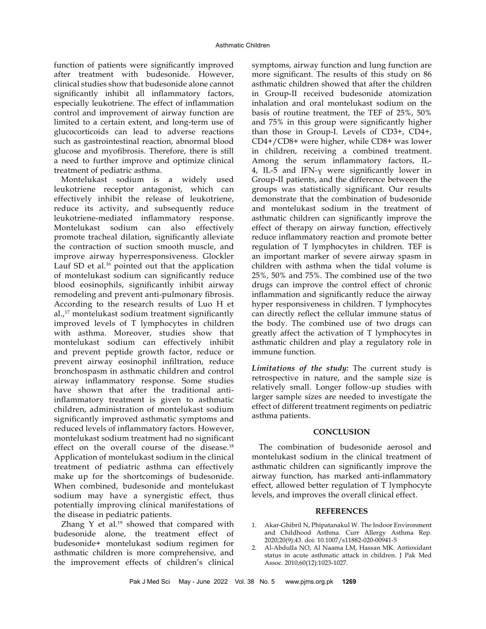function of patients were significantly improved after treatment with budesonide. However, clinical studies show that budesonide alone cannot significantly inhibit all inflammatory factors, especially leukotriene. The effect of inflammation control and improvement of airway function are limited to a certain extent, and long-term use of glucocorticoids can lead to adverse reactions such as gastrointestinal reaction, abnormal blood glucose and myofibrosis. Therefore, there is still a need to further improve and optimize clinical treatment of pediatric asthma.

Montelukast sodium is a widely used leukotriene receptor antagonist, which can effectively inhibit the release of leukotriene, reduce its activity, and subsequently reduce leukotriene-mediated inflammatory response. Montelukast sodium can also effectively promote tracheal dilation, significantly alleviate the contraction of suction smooth muscle, and improve airway hyperresponsiveness. Glockler Lauf SD et al.<sup>16</sup> pointed out that the application of montelukast sodium can significantly reduce blood eosinophils, significantly inhibit airway remodeling and prevent anti-pulmonary fibrosis. According to the research results of Luo H et al.,17 montelukast sodium treatment significantly improved levels of T lymphocytes in children with asthma. Moreover, studies show that montelukast sodium can effectively inhibit and prevent peptide growth factor, reduce or prevent airway eosinophil infiltration, reduce bronchospasm in asthmatic children and control airway inflammatory response. Some studies have shown that after the traditional antiinflammatory treatment is given to asthmatic children, administration of montelukast sodium significantly improved asthmatic symptoms and reduced levels of inflammatory factors. However, montelukast sodium treatment had no significant effect on the overall course of the disease.<sup>18</sup> Application of montelukast sodium in the clinical treatment of pediatric asthma can effectively make up for the shortcomings of budesonide. When combined, budesonide and montelukast sodium may have a synergistic effect, thus potentially improving clinical manifestations of the disease in pediatric patients.

Zhang  $Y$  et al.<sup>19</sup> showed that compared with budesonide alone, the treatment effect of budesonide+ montelukast sodium regimen for asthmatic children is more comprehensive, and the improvement effects of children's clinical symptoms, airway function and lung function are more significant. The results of this study on 86 asthmatic children showed that after the children in Group-II received budesonide atomization inhalation and oral montelukast sodium on the basis of routine treatment, the TEF of 25%, 50% and 75% in this group were significantly higher than those in Group-I. Levels of CD3+, CD4+, CD4+/CD8+ were higher, while CD8+ was lower in children, receiving a combined treatment. Among the serum inflammatory factors, IL-4, IL-5 and IFN-γ were significantly lower in Group-II patients, and the difference between the groups was statistically significant. Our results demonstrate that the combination of budesonide and montelukast sodium in the treatment of asthmatic children can significantly improve the effect of therapy on airway function, effectively reduce inflammatory reaction and promote better regulation of T lymphocytes in children. TEF is an important marker of severe airway spasm in children with asthma when the tidal volume is 25%, 50% and 75%. The combined use of the two drugs can improve the control effect of chronic inflammation and significantly reduce the airway hyper responsiveness in children. T lymphocytes can directly reflect the cellular immune status of the body. The combined use of two drugs can greatly affect the activation of T lymphocytes in asthmatic children and play a regulatory role in immune function.

*Limitations of the study:* The current study is retrospective in nature, and the sample size is relatively small. Longer follow-up studies with larger sample sizes are needed to investigate the effect of different treatment regiments on pediatric asthma patients.

# **CONCLUSION**

The combination of budesonide aerosol and montelukast sodium in the clinical treatment of asthmatic children can significantly improve the airway function, has marked anti-inflammatory effect, allowed better regulation of T lymphocyte levels, and improves the overall clinical effect.

### **REFERENCES**

- 1. Akar-Ghibril N, Phipatanakul W. The Indoor Environment and Childhood Asthma. Curr Allergy Asthma Rep. 2020;20(9):43. doi: 10.1007/s11882-020-00941-5
- 2. Al-Abdulla NO, Al Naama LM, Hassan MK. Antioxidant status in acute asthmatic attack in children. J Pak Med Assoc. 2010;60(12):1023-1027.